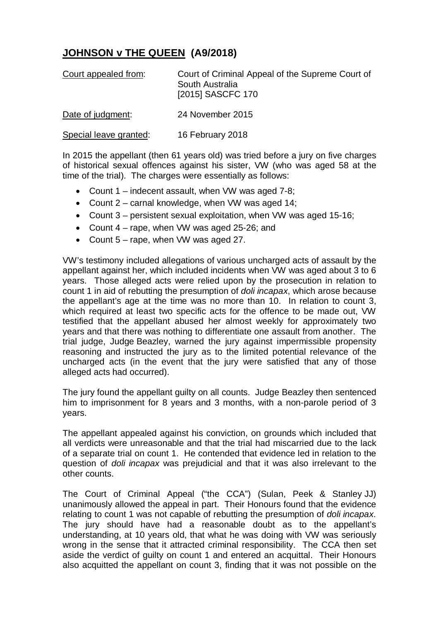## **JOHNSON v THE QUEEN (A9/2018)**

| Court appealed from: | Court of Criminal Appeal of the Supreme Court of<br>South Australia<br>[2015] SASCFC 170 |
|----------------------|------------------------------------------------------------------------------------------|
| Date of judgment:    | 24 November 2015                                                                         |

Special leave granted: 16 February 2018

In 2015 the appellant (then 61 years old) was tried before a jury on five charges of historical sexual offences against his sister, VW (who was aged 58 at the time of the trial). The charges were essentially as follows:

- Count 1 indecent assault, when VW was aged 7-8;
- Count 2 carnal knowledge, when VW was aged 14;
- Count 3 persistent sexual exploitation, when VW was aged 15-16;
- Count 4 rape, when VW was aged 25-26; and
- Count 5 rape, when VW was aged 27.

VW's testimony included allegations of various uncharged acts of assault by the appellant against her, which included incidents when VW was aged about 3 to 6 years. Those alleged acts were relied upon by the prosecution in relation to count 1 in aid of rebutting the presumption of *doli incapax*, which arose because the appellant's age at the time was no more than 10. In relation to count 3, which required at least two specific acts for the offence to be made out, VW testified that the appellant abused her almost weekly for approximately two years and that there was nothing to differentiate one assault from another. The trial judge, Judge Beazley, warned the jury against impermissible propensity reasoning and instructed the jury as to the limited potential relevance of the uncharged acts (in the event that the jury were satisfied that any of those alleged acts had occurred).

The jury found the appellant guilty on all counts. Judge Beazley then sentenced him to imprisonment for 8 years and 3 months, with a non-parole period of 3 years.

The appellant appealed against his conviction, on grounds which included that all verdicts were unreasonable and that the trial had miscarried due to the lack of a separate trial on count 1. He contended that evidence led in relation to the question of *doli incapax* was prejudicial and that it was also irrelevant to the other counts.

The Court of Criminal Appeal ("the CCA") (Sulan, Peek & Stanley JJ) unanimously allowed the appeal in part. Their Honours found that the evidence relating to count 1 was not capable of rebutting the presumption of *doli incapax*. The jury should have had a reasonable doubt as to the appellant's understanding, at 10 years old, that what he was doing with VW was seriously wrong in the sense that it attracted criminal responsibility. The CCA then set aside the verdict of guilty on count 1 and entered an acquittal. Their Honours also acquitted the appellant on count 3, finding that it was not possible on the